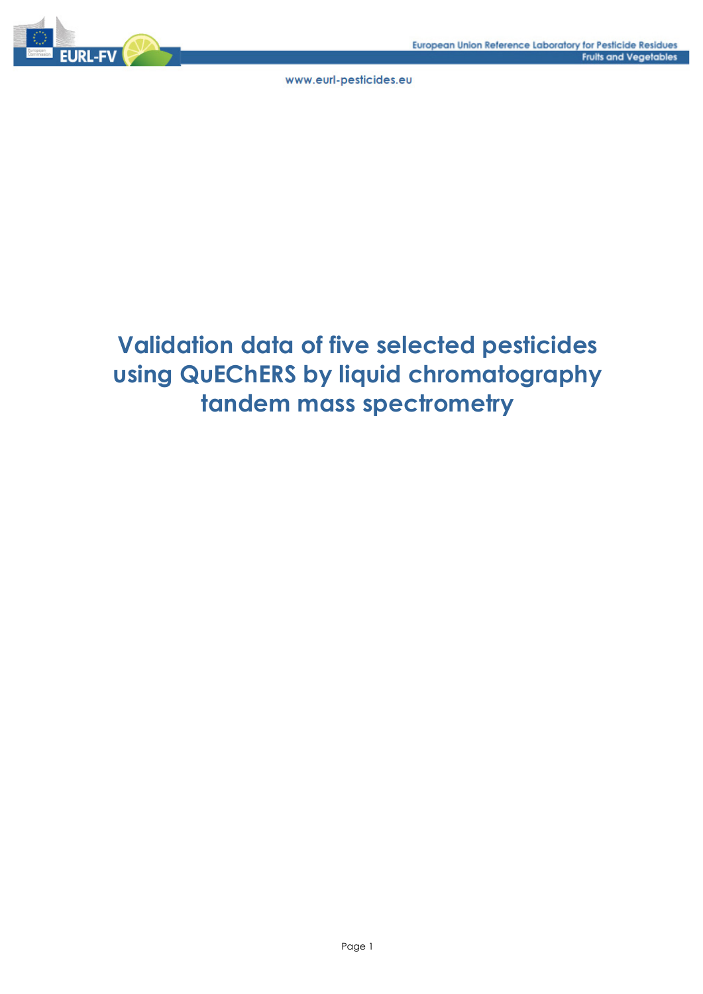

# **Validation data of five selected pesticides using QuEChERS by liquid chromatography tandem mass spectrometry**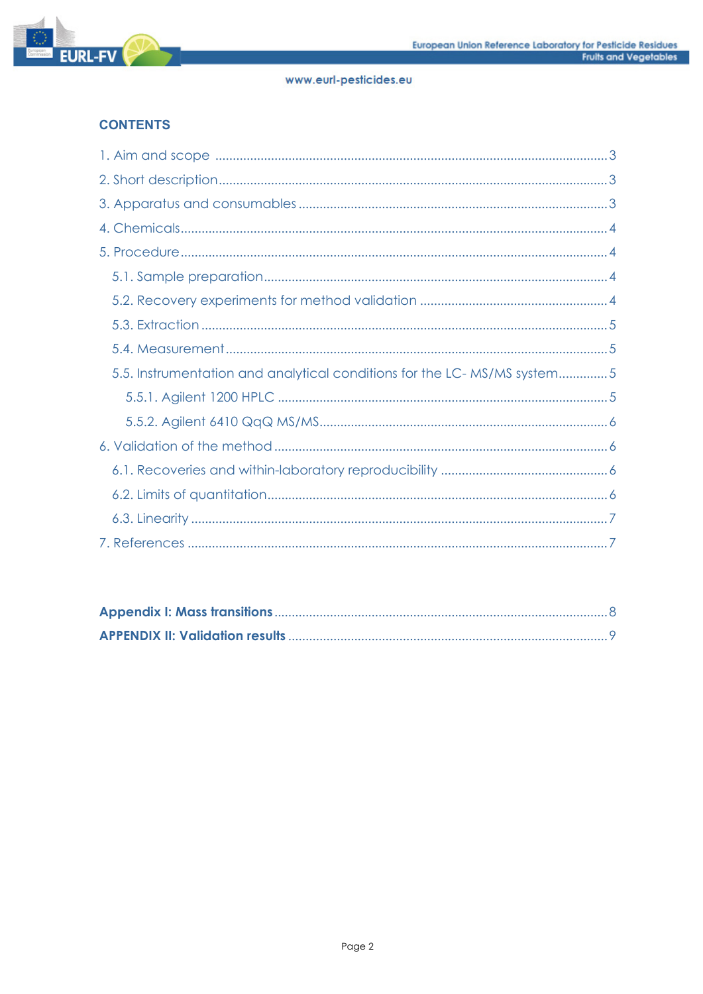

# **CONTENTS**

| 5.5. Instrumentation and analytical conditions for the LC-MS/MS system5 |
|-------------------------------------------------------------------------|
|                                                                         |
|                                                                         |
|                                                                         |
|                                                                         |
|                                                                         |
|                                                                         |
|                                                                         |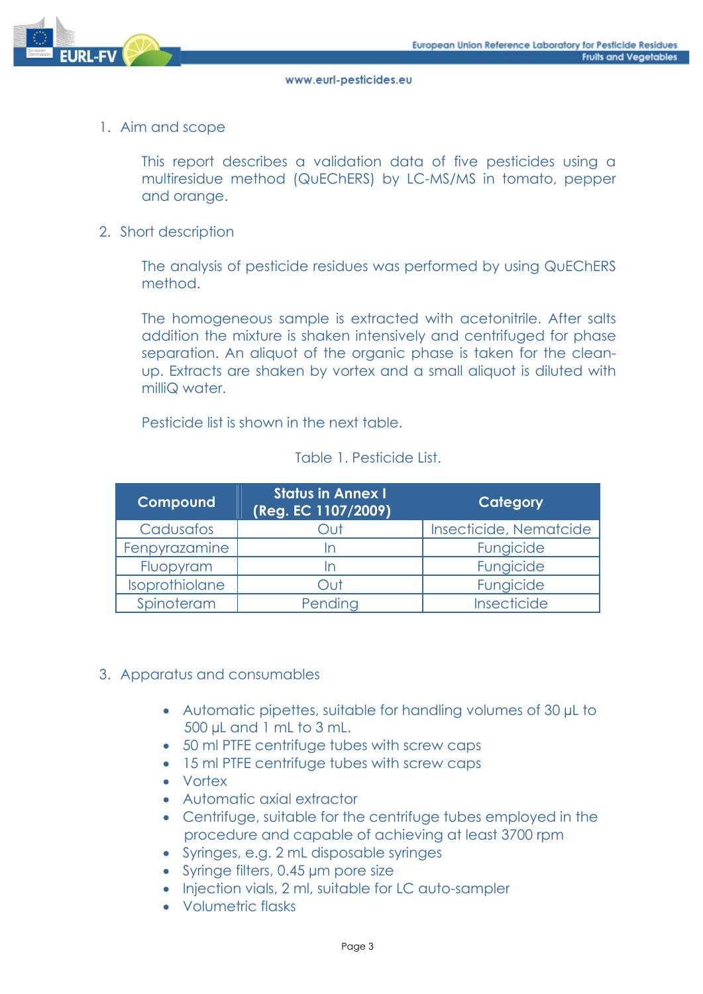

1. Aim and scope

This report describes a validation data of five pesticides using a multiresidue method (QuEChERS) by LC-MS/MS in tomato, pepper and orange.

2. Short description

The analysis of pesticide residues was performed by using QuEChERS method.

The homogeneous sample is extracted with acetonitrile. After salts addition the mixture is shaken intensively and centrifuged for phase separation. An aliquot of the organic phase is taken for the cleanup. Extracts are shaken by vortex and a small aliquot is diluted with milliQ water.

Pesticide list is shown in the next table.

| Compound       | <b>Status in Annex I</b><br>(Reg. EC 1107/2009) | Category               |
|----------------|-------------------------------------------------|------------------------|
| Cadusafos      | JuC                                             | Insecticide, Nematcide |
| Fenpyrazamine  | ın                                              | Fungicide              |
| Fluopyram      | $\mathsf{I}$                                    | Fungicide              |
| Isoprothiolane | Out                                             | Fungicide              |
| Spinoteram     | Pending                                         | Insecticide            |

#### Table 1. Pesticide List.

#### 3. Apparatus and consumables

- Automatic pipettes, suitable for handling volumes of 30 µL to 500 µL and 1 mL to 3 mL.
- 50 ml PTFE centrifuge tubes with screw caps
- 15 ml PTFE centrifuge tubes with screw caps
- Vortex
- Automatic axial extractor
- Centrifuge, suitable for the centrifuge tubes employed in the procedure and capable of achieving at least 3700 rpm
- Syringes, e.g. 2 mL disposable syringes
- Syringe filters, 0.45 µm pore size
- Injection vials, 2 ml, suitable for LC auto-sampler
- Volumetric flasks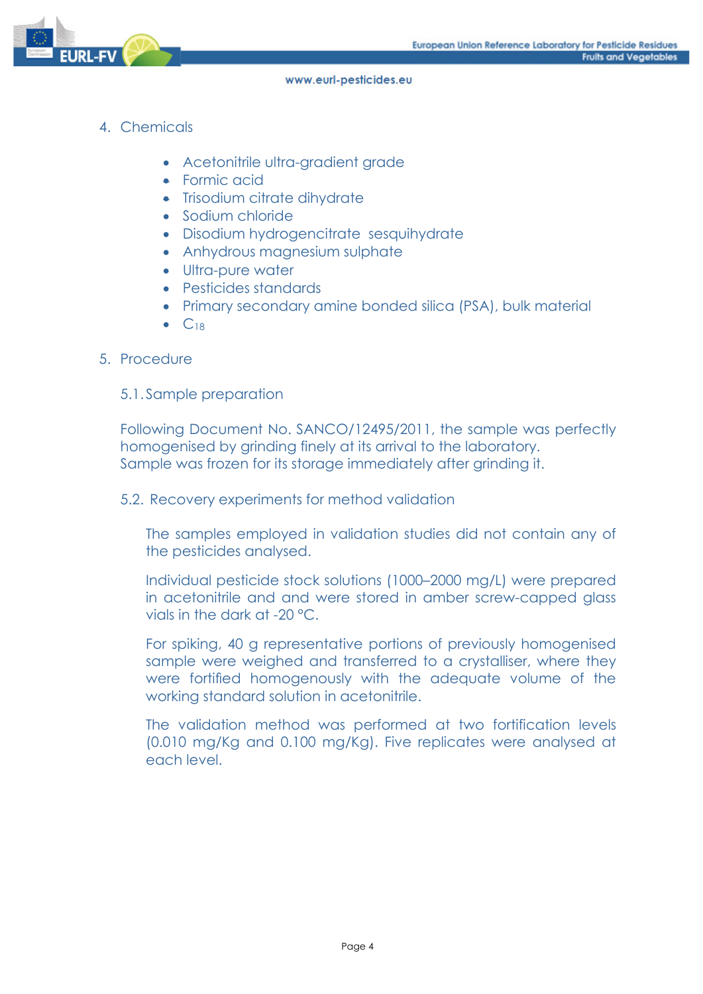

- 4. Chemicals
	- Acetonitrile ultra-gradient grade
	- Formic acid
	- Trisodium citrate dihydrate
	- Sodium chloride
	- Disodium hydrogencitrate sesquihydrate
	- Anhydrous magnesium sulphate
	- Ultra-pure water
	- Pesticides standards
	- Primary secondary amine bonded silica (PSA), bulk material
	- $\bullet$   $C_{18}$

#### 5. Procedure

#### 5.1. Sample preparation

Following Document No. SANCO/12495/2011, the sample was perfectly homogenised by grinding finely at its arrival to the laboratory. Sample was frozen for its storage immediately after grinding it.

5.2. Recovery experiments for method validation

The samples employed in validation studies did not contain any of the pesticides analysed.

Individual pesticide stock solutions (1000–2000 mg/L) were prepared in acetonitrile and and were stored in amber screw-capped glass vials in the dark at -20 °C.

For spiking, 40 g representative portions of previously homogenised sample were weighed and transferred to a crystalliser, where they were fortified homogenously with the adequate volume of the working standard solution in acetonitrile.

The validation method was performed at two fortification levels (0.010 mg/Kg and 0.100 mg/Kg). Five replicates were analysed at each level.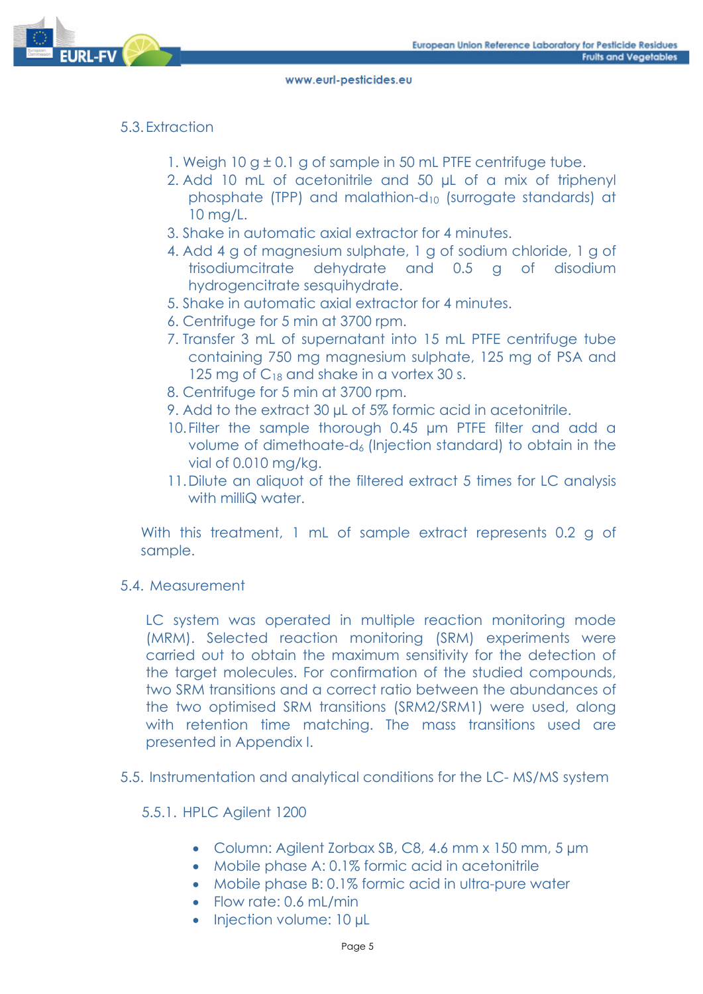

# 5.3. Extraction

- 1. Weigh 10  $g \pm 0.1$  g of sample in 50 mL PTFE centrifuge tube.
- 2. Add 10 mL of acetonitrile and 50 µL of a mix of triphenyl phosphate (TPP) and malathion-d<sub>10</sub> (surrogate standards) at 10 mg/L.
- 3. Shake in automatic axial extractor for 4 minutes.
- 4. Add 4 g of magnesium sulphate, 1 g of sodium chloride, 1 g of trisodiumcitrate dehydrate and 0.5 g of disodium hydrogencitrate sesquihydrate.
- 5. Shake in automatic axial extractor for 4 minutes.
- 6. Centrifuge for 5 min at 3700 rpm.
- 7. Transfer 3 mL of supernatant into 15 mL PTFE centrifuge tube containing 750 mg magnesium sulphate, 125 mg of PSA and 125 mg of  $C_{18}$  and shake in a vortex 30 s.
- 8. Centrifuge for 5 min at 3700 rpm.
- 9. Add to the extract 30 µL of 5% formic acid in acetonitrile.
- 10.Filter the sample thorough 0.45 µm PTFE filter and add a volume of dimethoate-d<sub>6</sub> (Injection standard) to obtain in the vial of 0.010 mg/kg.
- 11.Dilute an aliquot of the filtered extract 5 times for LC analysis with milliQ water.

With this treatment, 1 mL of sample extract represents 0.2 g of sample.

5.4. Measurement

LC system was operated in multiple reaction monitoring mode (MRM). Selected reaction monitoring (SRM) experiments were carried out to obtain the maximum sensitivity for the detection of the target molecules. For confirmation of the studied compounds, two SRM transitions and a correct ratio between the abundances of the two optimised SRM transitions (SRM2/SRM1) were used, along with retention time matching. The mass transitions used are presented in Appendix I.

- 5.5. Instrumentation and analytical conditions for the LC- MS/MS system
	- 5.5.1. HPLC Agilent 1200
		- Column: Agilent Zorbax SB, C8, 4.6 mm x 150 mm, 5 µm
		- Mobile phase A: 0.1% formic acid in acetonitrile
		- Mobile phase B: 0.1% formic acid in ultra-pure water
		- $\bullet$  Flow rate: 0.6 mL/min
		- Injection volume: 10 µL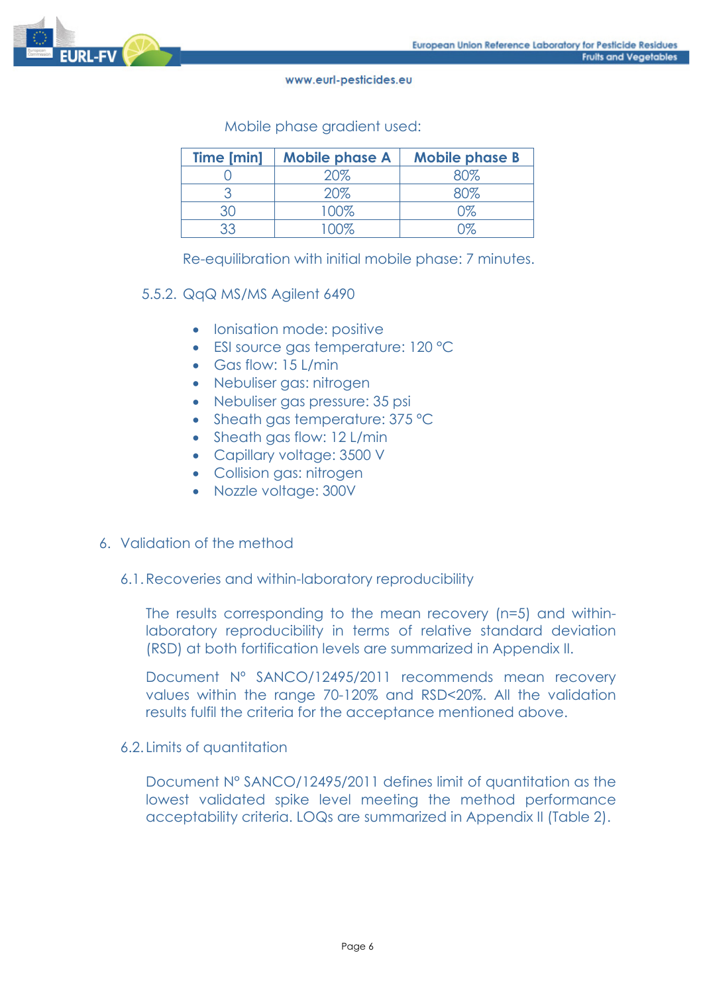

Mobile phase gradient used:

| Time [min] | <b>Mobile phase A</b> | <b>Mobile phase B</b> |
|------------|-----------------------|-----------------------|
|            | 20%                   |                       |
|            | 20%                   |                       |
|            | 100%                  | ነጁ                    |
|            |                       |                       |

Re-equilibration with initial mobile phase: 7 minutes.

#### 5.5.2. QqQ MS/MS Agilent 6490

- Ionisation mode: positive
- ESI source gas temperature: 120 °C
- Gas flow: 15 L/min
- Nebuliser gas: nitrogen
- Nebuliser gas pressure: 35 psi
- Sheath gas temperature: 375 °C
- Sheath gas flow: 12 L/min
- Capillary voltage: 3500 V
- Collision gas: nitrogen
- Nozzle voltage: 300V

#### 6. Validation of the method

6.1.Recoveries and within-laboratory reproducibility

The results corresponding to the mean recovery (n=5) and withinlaboratory reproducibility in terms of relative standard deviation (RSD) at both fortification levels are summarized in Appendix II.

Document Nº SANCO/12495/2011 recommends mean recovery values within the range 70-120% and RSD<20%. All the validation results fulfil the criteria for the acceptance mentioned above.

6.2. Limits of quantitation

Document N° SANCO/12495/2011 defines limit of quantitation as the lowest validated spike level meeting the method performance acceptability criteria. LOQs are summarized in Appendix II (Table 2).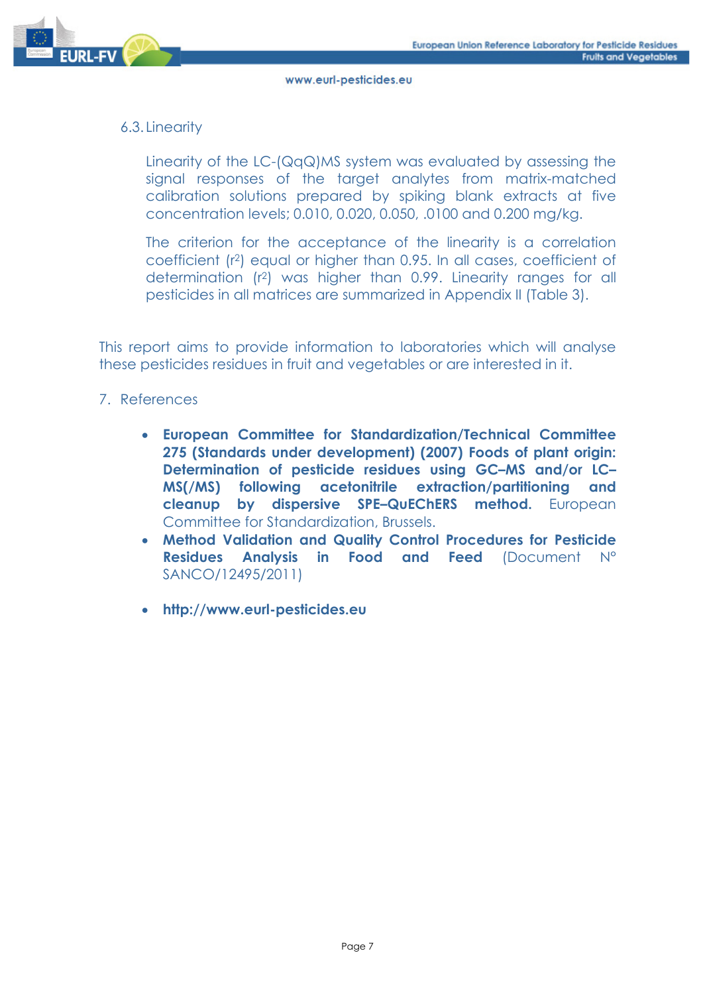

## 6.3. Linearity

Linearity of the LC-(QqQ)MS system was evaluated by assessing the signal responses of the target analytes from matrix-matched calibration solutions prepared by spiking blank extracts at five concentration levels; 0.010, 0.020, 0.050, .0100 and 0.200 mg/kg.

The criterion for the acceptance of the linearity is a correlation coefficient (r2) equal or higher than 0.95. In all cases, coefficient of determination (r2) was higher than 0.99. Linearity ranges for all pesticides in all matrices are summarized in Appendix II (Table 3).

This report aims to provide information to laboratories which will analyse these pesticides residues in fruit and vegetables or are interested in it.

#### 7. References

- **European Committee for Standardization/Technical Committee 275 (Standards under development) (2007) Foods of plant origin: Determination of pesticide residues using GC–MS and/or LC– MS(/MS) following acetonitrile extraction/partitioning and cleanup by dispersive SPE–QuEChERS method.** European Committee for Standardization, Brussels.
- **Method Validation and Quality Control Procedures for Pesticide Residues Analysis in Food and Feed** (Document N° SANCO/12495/2011)
- **http://www.eurl-pesticides.eu**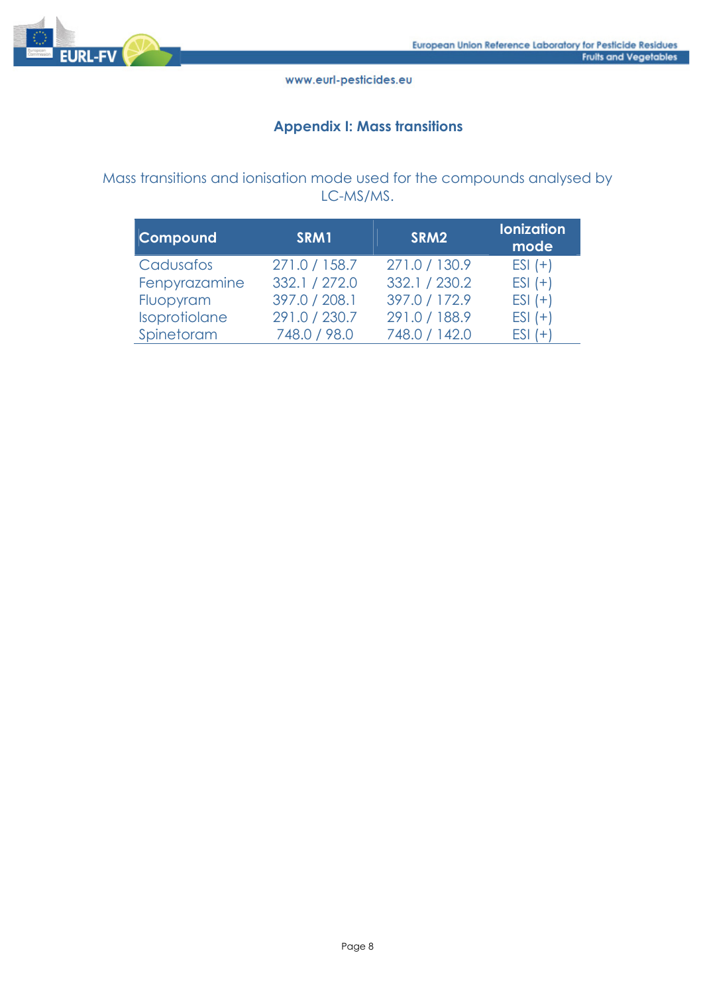

## **Appendix I: Mass transitions**

# Mass transitions and ionisation mode used for the compounds analysed by LC-MS/MS.

| Compound      | SRM1          | SRM2          | <b>lonization</b><br>mode |
|---------------|---------------|---------------|---------------------------|
| Cadusafos     | 271.0 / 158.7 | 271.0 / 130.9 | $ESI (+)$                 |
| Fenpyrazamine | 332.1 / 272.0 | 332.1 / 230.2 | $ESI (+)$                 |
| Fluopyram     | 397.0 / 208.1 | 397.0 / 172.9 | $ESI (+)$                 |
| Isoprotiolane | 291.0 / 230.7 | 291.0 / 188.9 | $ESI (+)$                 |
| Spinetoram    | 748.0 / 98.0  | 748.0 / 142.0 | $ESI (+)$                 |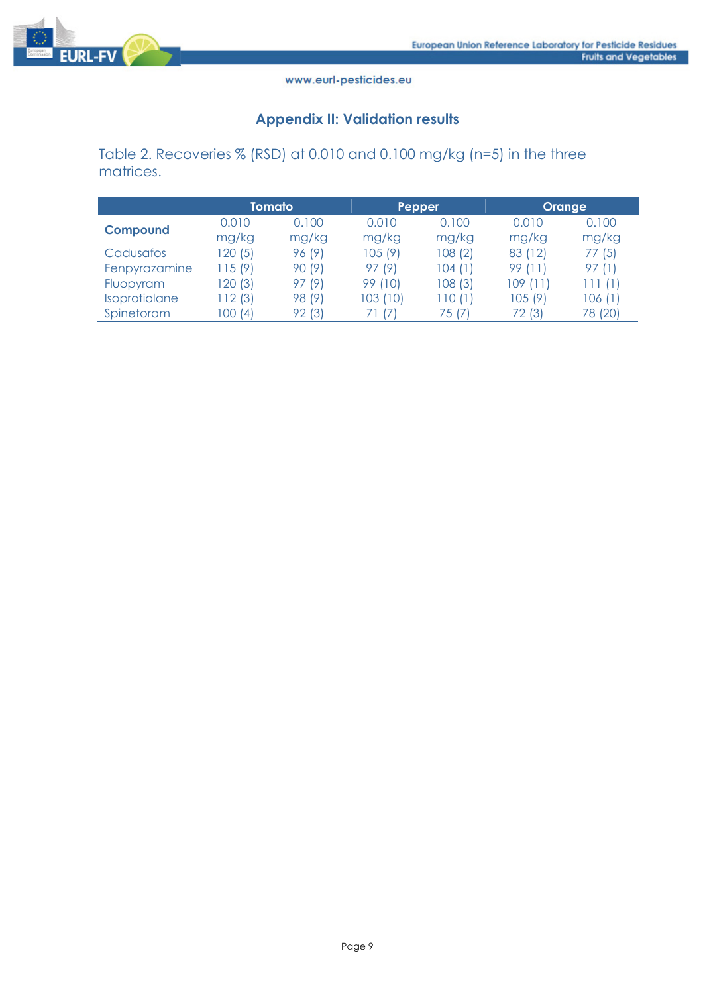

# **Appendix II: Validation results**

Table 2. Recoveries % (RSD) at 0.010 and 0.100 mg/kg (n=5) in the three matrices.

|                 | Tomato  |        | Pepper     |         | <b>Orange</b> |         |
|-----------------|---------|--------|------------|---------|---------------|---------|
|                 | 0.010   | 0.100  | 0.010      | 0.100   | 0.010         | 0.100   |
| <b>Compound</b> | mg/kg   | mg/kg  | mg/kg      | mg/kg   | mg/kg         | mg/kg   |
| Cadusafos       | 120(5)  | 96 (9) | 105 (9)    | 108(2)  | 83 (12)       | 77 (5)  |
| Fenpyrazamine   | 115(9)  | 90 (9) | 97 (9)     | 104 (1) | 99 (11)       | 97 (1)  |
| Fluopyram       | 120 (3) | 97 (9) | 99 (10)    | 108 (3) | 109(11)       | 111(1)  |
| Isoprotiolane   | 112 (3) | 98 (9) | 103 (10)   | 110 (1) | 105 (9)       | 106 (1) |
| Spinetoram      | 100 (4) | 92 (3) | $\sqrt{7}$ | 75 (7)  | 72 (3)        | 78 (20) |